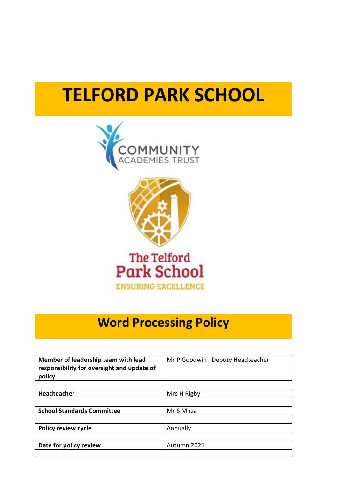# **TELFORD PARK SCHOOL**





# **Word Processing Policy**

| Member of leadership team with lead<br>responsibility for oversight and update of<br>policy | Mr P Goodwin- Deputy Headteacher |
|---------------------------------------------------------------------------------------------|----------------------------------|
|                                                                                             |                                  |
| Headteacher                                                                                 | Mrs H Rigby                      |
|                                                                                             |                                  |
| <b>School Standards Committee</b>                                                           | Mr S Mirza                       |
|                                                                                             |                                  |
| <b>Policy review cycle</b>                                                                  | Annually                         |
|                                                                                             |                                  |
| Date for policy review                                                                      | Autumn 2021                      |
|                                                                                             |                                  |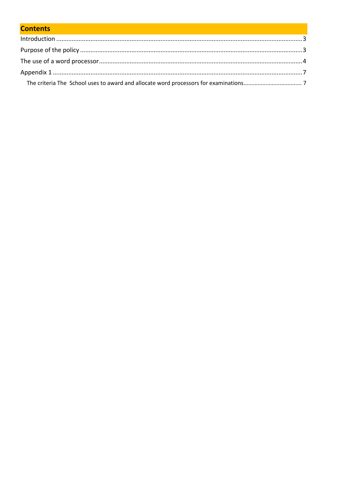# **Contents**

<span id="page-1-0"></span>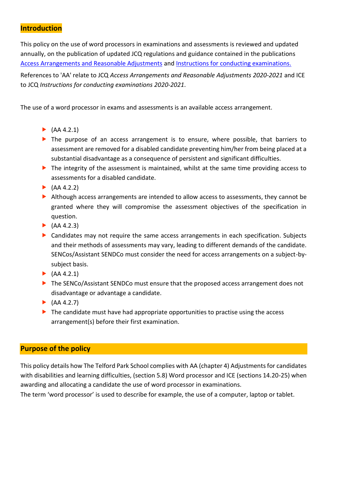# **Introduction**

This policy on the use of word processors in examinations and assessments is reviewed and updated annually, on the publication of updated JCQ regulations and guidance contained in the publications [Access Arrangements and Reasonable Adjustments](http://www.jcq.org.uk/exams-office/access-arrangements-and-special-consideration/regulations-and-guidance) and [Instructions for conducting examinations.](http://www.jcq.org.uk/exams-office/ice---instructions-for-conducting-examinations) 

References to 'AA' relate to JCQ *Access Arrangements and Reasonable Adjustments 2020-2021* and ICE to JCQ *Instructions for conducting examinations 2020-2021*.

The use of a word processor in exams and assessments is an available access arrangement.

- $\blacktriangleright$  (AA 4.2.1)
- The purpose of an access arrangement is to ensure, where possible, that barriers to assessment are removed for a disabled candidate preventing him/her from being placed at a substantial disadvantage as a consequence of persistent and significant difficulties.
- The integrity of the assessment is maintained, whilst at the same time providing access to assessments for a disabled candidate.
- $\blacktriangleright$  (AA 4.2.2)
- Although access arrangements are intended to allow access to assessments, they cannot be granted where they will compromise the assessment objectives of the specification in question.
- $\blacktriangleright$  (AA 4.2.3)
- Candidates may not require the same access arrangements in each specification. Subjects and their methods of assessments may vary, leading to different demands of the candidate. SENCos/Assistant SENDCo must consider the need for access arrangements on a subject-bysubject basis.
- $\blacktriangleright$  (AA 4.2.1)
- ▶ The SENCo/Assistant SENDCo must ensure that the proposed access arrangement does not disadvantage or advantage a candidate.
- $(AA 4.2.7)$
- $\blacktriangleright$  The candidate must have had appropriate opportunities to practise using the access arrangement(s) before their first examination.

# <span id="page-2-0"></span>**Purpose of the policy**

This policy details how The Telford Park School complies with AA (chapter 4) Adjustments for candidates with disabilities and learning difficulties, (section 5.8) Word processor and ICE (sections 14.20-25) when awarding and allocating a candidate the use of word processor in examinations.

The term 'word processor' is used to describe for example, the use of a computer, laptop or tablet.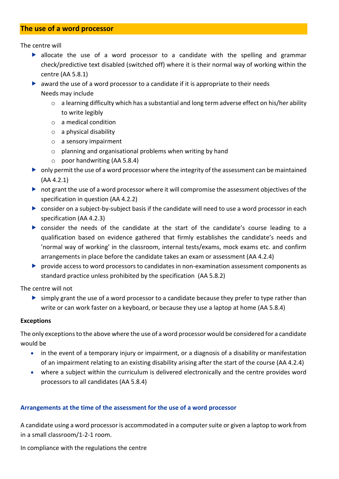# <span id="page-3-0"></span>**The use of a word processor**

The centre will

- allocate the use of a word processor to a candidate with the spelling and grammar check/predictive text disabled (switched off) where it is their normal way of working within the centre (AA 5.8.1)
- award the use of a word processor to a candidate if it is appropriate to their needs Needs may include
	- $\circ$  a learning difficulty which has a substantial and long term adverse effect on his/her ability to write legibly
	- o a medical condition
	- $\circ$  a physical disability
	- o a sensory impairment
	- o planning and organisational problems when writing by hand
	- $\circ$  poor handwriting (AA 5.8.4)
- only permit the use of a word processor where the integrity of the assessment can be maintained (AA 4.2.1)
- not grant the use of a word processor where it will compromise the assessment objectives of the specification in question (AA 4.2.2)
- consider on a subject-by-subject basis if the candidate will need to use a word processor in each specification (AA 4.2.3)
- consider the needs of the candidate at the start of the candidate's course leading to a qualification based on evidence gathered that firmly establishes the candidate's needs and 'normal way of working' in the classroom, internal tests/exams, mock exams etc. and confirm arrangements in place before the candidate takes an exam or assessment (AA 4.2.4)
- provide access to word processors to candidates in non-examination assessment components as standard practice unless prohibited by the specification (AA 5.8.2)

The centre will not

 $\triangleright$  simply grant the use of a word processor to a candidate because they prefer to type rather than write or can work faster on a keyboard, or because they use a laptop at home (AA 5.8.4)

#### **Exceptions**

The only exceptions to the above where the use of a word processor would be considered for a candidate would be

- in the event of a temporary injury or impairment, or a diagnosis of a disability or manifestation of an impairment relating to an existing disability arising after the start of the course (AA 4.2.4)
- where a subject within the curriculum is delivered electronically and the centre provides word processors to all candidates (AA 5.8.4)

#### **Arrangements at the time of the assessment for the use of a word processor**

A candidate using a word processor is accommodated in a computer suite or given a laptop to work from in a small classroom/1-2-1 room.

In compliance with the regulations the centre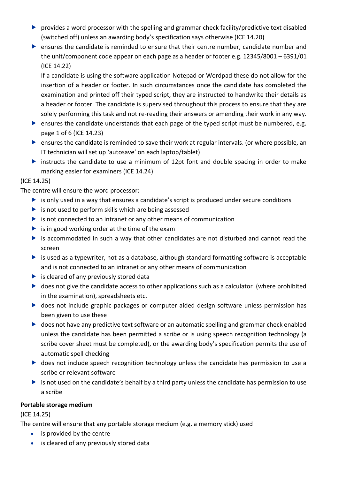- provides a word processor with the spelling and grammar check facility/predictive text disabled (switched off) unless an awarding body's specification says otherwise (ICE 14.20)
- ensures the candidate is reminded to ensure that their centre number, candidate number and the unit/component code appear on each page as a header or footer e.g. 12345/8001 – 6391/01 (ICE 14.22)

If a candidate is using the software application Notepad or Wordpad these do not allow for the insertion of a header or footer. In such circumstances once the candidate has completed the examination and printed off their typed script, they are instructed to handwrite their details as a header or footer. The candidate is supervised throughout this process to ensure that they are solely performing this task and not re-reading their answers or amending their work in any way.

- **EX** ensures the candidate understands that each page of the typed script must be numbered, e.g. page 1 of 6 (ICE 14.23)
- ensures the candidate is reminded to save their work at regular intervals. (or where possible, an IT technician will set up 'autosave' on each laptop/tablet)
- instructs the candidate to use a minimum of 12pt font and double spacing in order to make marking easier for examiners (ICE 14.24)

## (ICE 14.25)

The centre will ensure the word processor:

- $\triangleright$  is only used in a way that ensures a candidate's script is produced under secure conditions
- $\triangleright$  is not used to perform skills which are being assessed
- $\triangleright$  is not connected to an intranet or any other means of communication
- $\triangleright$  is in good working order at the time of the exam
- $\triangleright$  is accommodated in such a way that other candidates are not disturbed and cannot read the screen
- is used as a typewriter, not as a database, although standard formatting software is acceptable and is not connected to an intranet or any other means of communication
- $\blacktriangleright$  is cleared of any previously stored data
- does not give the candidate access to other applications such as a calculator (where prohibited in the examination), spreadsheets etc.
- does not include graphic packages or computer aided design software unless permission has been given to use these
- ▶ does not have any predictive text software or an automatic spelling and grammar check enabled unless the candidate has been permitted a scribe or is using speech recognition technology (a scribe cover sheet must be completed), or the awarding body's specification permits the use of automatic spell checking
- ▶ does not include speech recognition technology unless the candidate has permission to use a scribe or relevant software
- is not used on the candidate's behalf by a third party unless the candidate has permission to use a scribe

### **Portable storage medium**

(ICE 14.25)

The centre will ensure that any portable storage medium (e.g. a memory stick) used

- is provided by the centre
- is cleared of any previously stored data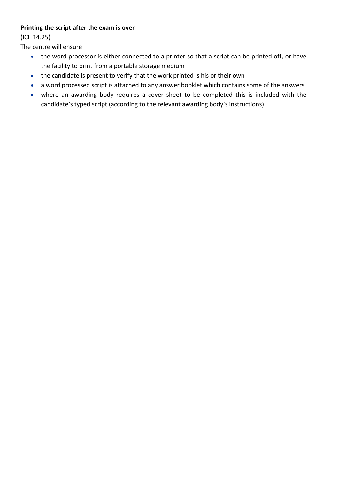# **Printing the script after the exam is over**

(ICE 14.25)

The centre will ensure

- the word processor is either connected to a printer so that a script can be printed off, or have the facility to print from a portable storage medium
- the candidate is present to verify that the work printed is his or their own
- a word processed script is attached to any answer booklet which contains some of the answers
- where an awarding body requires a cover sheet to be completed this is included with the candidate's typed script (according to the relevant awarding body's instructions)